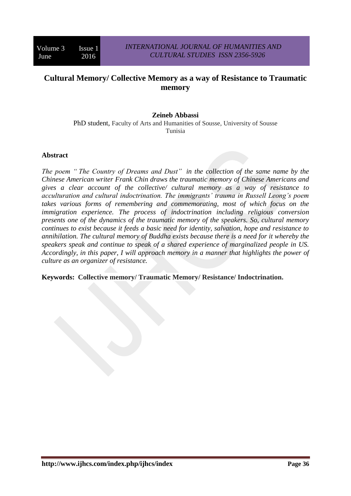# **Cultural Memory/ Collective Memory as a way of Resistance to Traumatic memory**

## **Zeineb Abbassi**

PhD student, Faculty of Arts and Humanities of Sousse, University of Sousse Tunisia

#### **Abstract**

*The poem " The Country of Dreams and Dust" in the collection of the same name by the Chinese American writer Frank Chin draws the traumatic memory of Chinese Americans and gives a clear account of the collective/ cultural memory as a way of resistance to acculturation and cultural indoctrination. The immigrants' trauma in Russell Leong's poem takes various forms of remembering and commemorating, most of which focus on the immigration experience. The process of indoctrination including religious conversion presents one of the dynamics of the traumatic memory of the speakers. So, cultural memory continues to exist because it feeds a basic need for identity, salvation, hope and resistance to annihilation. The cultural memory of Buddha exists because there is a need for it whereby the speakers speak and continue to speak of a shared experience of marginalized people in US. Accordingly, in this paper, I will approach memory in a manner that highlights the power of culture as an organizer of resistance.* 

**Keywords: Collective memory/ Traumatic Memory/ Resistance/ Indoctrination.**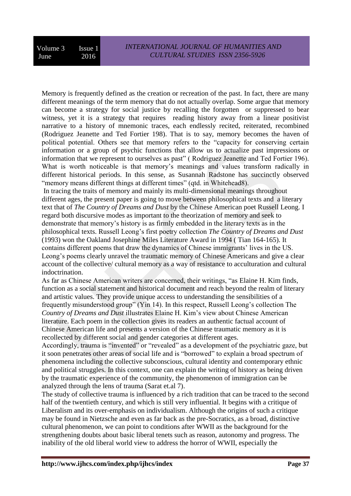Memory is frequently defined as the creation or recreation of the past. In fact, there are many different meanings of the term memory that do not actually overlap. Some argue that memory can become a strategy for social justice by recalling the forgotten or suppressed to bear witness, yet it is a strategy that requires reading history away from a linear positivist narrative to a history of mnemonic traces, each endlessly recited, reiterated, recombined (Rodriguez Jeanette and Ted Fortier 198). That is to say, memory becomes the haven of political potential. Others see that memory refers to the "capacity for conserving certain information or a group of psychic functions that allow us to actualize past impressions or information that we represent to ourselves as past" ( Rodriguez Jeanette and Ted Fortier 196). What is worth noticeable is that memory's meanings and values transform radically in different historical periods. In this sense, as Susannah Radstone has succinctly observed "memory means different things at different times" (qtd. in Whitehead8).

In tracing the traits of memory and mainly its multi-dimensional meanings throughout different ages, the present paper is going to move between philosophical texts and a literary text that of *The Country of Dreams and Dust* by the Chinese American poet Russell Leong. I regard both discursive modes as important to the theorization of memory and seek to demonstrate that memory's history is as firmly embedded in the literary texts as in the philosophical texts. Russell Leong's first poetry collection *The Country of Dreams and Dust* (1993) won the Oakland Josephine Miles Literature Award in 1994 ( Tian 164-165). It contains different poems that draw the dynamics of Chinese immigrants' lives in the US. Leong's poems clearly unravel the traumatic memory of Chinese Americans and give a clear account of the collective/ cultural memory as a way of resistance to acculturation and cultural indoctrination.

As far as Chinese American writers are concerned, their writings, "as Elaine H. Kim finds, function as a social statement and historical document and reach beyond the realm of literary and artistic values. They provide unique access to understanding the sensibilities of a frequently misunderstood group" (Yin 14). In this respect, Russell Leong's collection The *Country of Dreams and Dust* illustrates Elaine H. Kim's view about Chinese American literature. Each poem in the collection gives its readers an authentic factual account of Chinese American life and presents a version of the Chinese traumatic memory as it is recollected by different social and gender categories at different ages.

Accordingly, trauma is "invented" or "revealed" as a development of the psychiatric gaze, but it soon penetrates other areas of social life and is "borrowed" to explain a broad spectrum of phenomena including the collective subconscious, cultural identity and contemporary ethnic and political struggles. In this context, one can explain the writing of history as being driven by the traumatic experience of the community, the phenomenon of immigration can be analyzed through the lens of trauma (Sarat et.al 7).

The study of collective trauma is influenced by a rich tradition that can be traced to the second half of the twentieth century, and which is still very influential. It begins with a critique of Liberalism and its over-emphasis on individualism. Although the origins of such a critique may be found in Nietzsche and even as far back as the pre-Socratics, as a broad, distinctive cultural phenomenon, we can point to conditions after WWII as the background for the strengthening doubts about basic liberal tenets such as reason, autonomy and progress. The inability of the old liberal world view to address the horror of WWII, especially the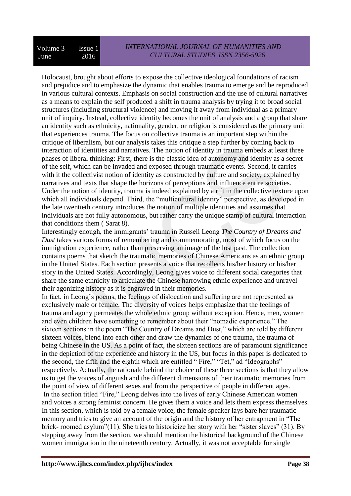Holocaust, brought about efforts to expose the collective ideological foundations of racism and prejudice and to emphasize the dynamic that enables trauma to emerge and be reproduced in various cultural contexts. Emphasis on social construction and the use of cultural narratives as a means to explain the self produced a shift in trauma analysis by trying it to broad social structures (including structural violence) and moving it away from individual as a primary unit of inquiry. Instead, collective identity becomes the unit of analysis and a group that share an identity such as ethnicity, nationality, gender, or religion is considered as the primary unit that experiences trauma. The focus on collective trauma is an important step within the critique of liberalism, but our analysis takes this critique a step further by coming back to interaction of identities and narratives. The notion of identity in trauma embeds at least three phases of liberal thinking: First, there is the classic idea of autonomy and identity as a secret of the self, which can be invaded and exposed through traumatic events. Second, it carries with it the collectivist notion of identity as constructed by culture and society, explained by narratives and texts that shape the horizons of perceptions and influence entire societies. Under the notion of identity, trauma is indeed explained by a rift in the collective texture upon which all individuals depend. Third, the "multicultural identity" perspective, as developed in the late twentieth century introduces the notion of multiple identities and assumes that individuals are not fully autonomous, but rather carry the unique stamp of cultural interaction that conditions them ( Sarat 8).

Interestingly enough, the immigrants' trauma in Russell Leong *The Country of Dreams and Dust* takes various forms of remembering and commemorating, most of which focus on the immigration experience, rather than preserving an image of the lost past. The collection contains poems that sketch the traumatic memories of Chinese Americans as an ethnic group in the United States. Each section presents a voice that recollects his/her history or his/her story in the United States. Accordingly, Leong gives voice to different social categories that share the same ethnicity to articulate the Chinese harrowing ethnic experience and unravel their agonizing history as it is engraved in their memories.

In fact, in Leong's poems, the feelings of dislocation and suffering are not represented as exclusively male or female. The diversity of voices helps emphasize that the feelings of trauma and agony permeates the whole ethnic group without exception. Hence, men, women and even children have something to remember about their "nomadic experience." The sixteen sections in the poem "The Country of Dreams and Dust," which are told by different sixteen voices, blend into each other and draw the dynamics of one trauma, the trauma of being Chinese in the US. As a point of fact, the sixteen sections are of paramount significance in the depiction of the experience and history in the US, but focus in this paper is dedicated to the second, the fifth and the eighth which are entitled " Fire," "Tet," ad "Ideographs" respectively. Actually, the rationale behind the choice of these three sections is that they allow us to get the voices of anguish and the different dimensions of their traumatic memories from the point of view of different sexes and from the perspective of people in different ages. In the section titled "Fire," Leong delves into the lives of early Chinese American women and voices a strong feminist concern. He gives them a voice and lets them express themselves. In this section, which is told by a female voice, the female speaker lays bare her traumatic memory and tries to give an account of the origin and the history of her entrapment in "The brick- roomed asylum"(11). She tries to historicize her story with her "sister slaves" (31). By stepping away from the section, we should mention the historical background of the Chinese women immigration in the nineteenth century. Actually, it was not acceptable for single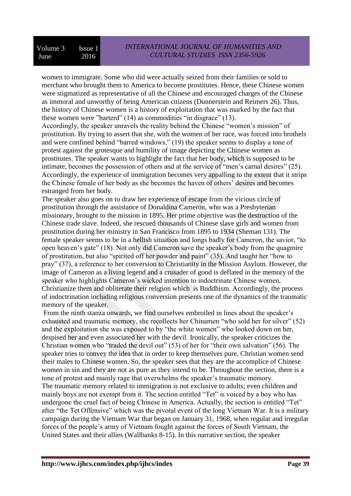women to immigrate. Some who did were actually seized from their families or sold to merchant who brought them to America to become prostitutes. Hence, these Chinese women were stigmatized as representative of all the Chinese and encouraged charges of the Chinese as immoral and unworthy of being American citizens (Dunnerstein and Reimers 26). Thus, the history of Chinese women is a history of exploitation that was marked by the fact that these women were "barterd" (14) as commodities "in disgrace" (13).

Accordingly, the speaker unravels the reality behind the Chinese "women's mission" of prostitution. By trying to assert that she, with the women of her race, was forced into brothels and were confined behind "barred windows," (19) the speaker seems to display a tone of protest against the grotesque and humility of image depicting the Chinese women as prostitutes. The speaker wants to highlight the fact that her body, which is supposed to be intimate, becomes the possession of others and at the service of "men's carnal desires" (25). Accordingly, the experience of immigration becomes very appalling to the extent that it strips the Chinese female of her body as she becomes the haven of others' desires and becomes estranged from her body.

The speaker also goes on to draw her experience of escape from the vicious circle of prostitution through the assistance of Donaldina Cameron, who was a Presbyterian missionary, brought to the mission in 1895. Her prime objective was the destruction of the Chinese trade slave. Indeed, she rescued thousands of Chinese slave girls and women from prostitution during her ministry in San Francisco from 1895 to 1934 (Sheman 131). The female speaker seems to be in a hellish situation and longs badly for Cameron, the savior, "to open heaven's gate" (18). Not only did Cameron save the speaker's body from the quagmire of prostitution, but also "spirited off her powder and paint" (35). And taught her "how to pray" (37), a reference to her conversion to Christianity in the Mission Asylum. However, the image of Cameron as a living legend and a crusader of good is deflated in the memory of the speaker who highlights Cameron's wicked intention to indoctrinate Chinese women, Christianize them and obliterate their religion which is Buddhism. Accordingly, the process of indoctrination including religious conversion presents one of the dynamics of the traumatic memory of the speaker.

From the ninth stanza onwards, we find ourselves embroiled in lines about the speaker's exhausted and traumatic memory, she recollects her Chinamen "who sold her for silver" (52) and the exploitation she was exposed to by "the white women" who looked down on her, despised her and even associated her with the devil. Ironically, the speaker criticizes the Christian women who "traded the devil out" (53) of her for "their own salvation" (56). The speaker tries to convey the idea that in order to keep themselves pure, Christian women send their males to Chinese women. So, the speaker sees that they are the accomplice of Chinese women in sin and they are not as pure as they intend to be. Throughout the section, there is a tone of protest and mainly rage that overwhelms the speaker's traumatic memory. The traumatic memory related to immigration is not exclusive to adults; even children and mainly boys are not exempt from it. The section entitled "Tet" is voiced by a boy who has undergone the cruel fact of being Chinese in America. Actually, the section is entitled "Tet" after "the Tet Offensive" which was the pivotal event of the long Vietnam War. It is a military campaign during the Vietnam War that began on January 31, 1968, when regular and irregular forces of the people's army of Vietnam fought against the forces of South Vietnam, the United States and their allies (Wallbanks 8-15). In this narrative section, the speaker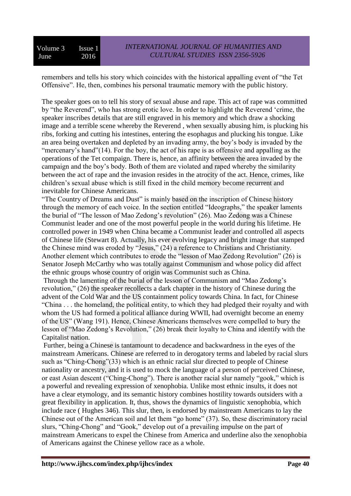remembers and tells his story which coincides with the historical appalling event of "the Tet Offensive". He, then, combines his personal traumatic memory with the public history.

The speaker goes on to tell his story of sexual abuse and rape. This act of rape was committed by "the Reverend", who has strong erotic love. In order to highlight the Reverend 'crime, the speaker inscribes details that are still engraved in his memory and which draw a shocking image and a terrible scene whereby the Reverend , when sexually abusing him, is plucking his ribs, forking and cutting his intestines, entering the esophagus and plucking his tongue. Like an area being overtaken and depleted by an invading army, the boy's body is invaded by the "mercenary's hand"(14). For the boy, the act of his rape is as offensive and appalling as the operations of the Tet compaign. There is, hence, an affinity between the area invaded by the campaign and the boy's body. Both of them are violated and raped whereby the similarity between the act of rape and the invasion resides in the atrocity of the act. Hence, crimes, like children's sexual abuse which is still fixed in the child memory become recurrent and inevitable for Chinese Americans.

"The Country of Dreams and Dust" is mainly based on the inscription of Chinese history through the memory of each voice. In the section entitled "Ideographs," the speaker laments the burial of "The lesson of Mao Zedong's revolution" (26). Mao Zedong was a Chinese Communist leader and one of the most powerful people in the world during his lifetime. He controlled power in 1949 when China became a Communist leader and controlled all aspects of Chinese life (Stewart 8). Actually, his ever evolving legacy and bright image that stamped the Chinese mind was eroded by "Jesus," (24) a reference to Christians and Christianity. Another element which contributes to erode the "lesson of Mao Zedong Revolution" (26) is Senator Joseph McCarthy who was totally against Communism and whose policy did affect the ethnic groups whose country of origin was Communist such as China.

Through the lamenting of the burial of the lesson of Communism and "Mao Zedong's revolution," (26) the speaker recollects a dark chapter in the history of Chinese during the advent of the Cold War and the US containment policy towards China. In fact, for Chinese "China . . . the homeland, the political entity, to which they had pledged their royalty and with whom the US had formed a political alliance during WWII, had overnight become an enemy of the US" (Wang 191). Hence, Chinese Americans themselves were compelled to bury the lesson of "Mao Zedong's Revolution," (26) break their loyalty to China and identify with the Capitalist nation.

Further, being a Chinese is tantamount to decadence and backwardness in the eyes of the mainstream Americans. Chinese are referred to in derogatory terms and labeled by racial slurs such as "Ching-Chong"(33) which is an ethnic racial slur directed to people of Chinese nationality or ancestry, and it is used to mock the language of a person of perceived Chinese, or east Asian descent ("Ching-Chong"). There is another racial slur namely "gook," which is a powerful and revealing expression of xenophobia. Unlike most ethnic insults, it does not have a clear etymology, and its semantic history combines hostility towards outsiders with a great flexibility in application. It, thus, shows the dynamics of linguistic xenophobia, which include race ( Hughes 346). This slur, then, is endorsed by mainstream Americans to lay the Chinese out of the American soil and let them "go home" (37). So, these discriminatory racial slurs, "Ching-Chong" and "Gook," develop out of a prevailing impulse on the part of mainstream Americans to expel the Chinese from America and underline also the xenophobia of Americans against the Chinese yellow race as a whole.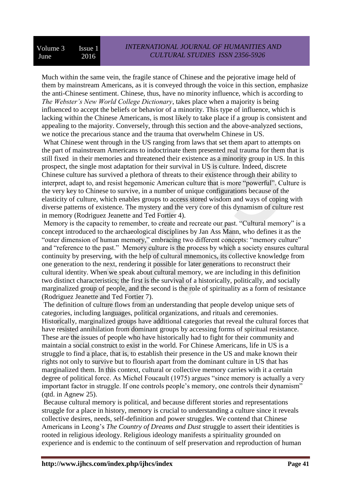Much within the same vein, the fragile stance of Chinese and the pejorative image held of them by mainstream Americans, as it is conveyed through the voice in this section, emphasize the anti-Chinese sentiment. Chinese, thus, have no minority influence, which is according to *The Webster's New World College Dictionary*, takes place when a majority is being influenced to accept the beliefs or behavior of a minority. This type of influence, which is lacking within the Chinese Americans, is most likely to take place if a group is consistent and appealing to the majority. Conversely, through this section and the above-analyzed sections, we notice the precarious stance and the trauma that overwhelm Chinese in US.

What Chinese went through in the US ranging from laws that set them apart to attempts on the part of mainstream Americans to indoctrinate them presented real trauma for them that is still fixed in their memories and threatened their existence as a minority group in US. In this prospect, the single most adaptation for their survival in US is culture. Indeed, discrete Chinese culture has survived a plethora of threats to their existence through their ability to interpret, adapt to, and resist hegemonic American culture that is more "powerful". Culture is the very key to Chinese to survive, in a number of unique configurations because of the elasticity of culture, which enables groups to access stored wisdom and ways of coping with diverse patterns of existence. The mystery and the very core of this dynamism of culture rest in memory (Rodriguez Jeanette and Ted Fortier 4).

Memory is the capacity to remember, to create and recreate our past. "Cultural memory" is a concept introduced to the archaeological disciplines by Jan Ass Mann, who defines it as the "outer dimension of human memory," embracing two different concepts: "memory culture" and "reference to the past." Memory culture is the process by which a society ensures cultural continuity by preserving, with the help of cultural mnemonics, its collective knowledge from one generation to the next, rendering it possible for later generations to reconstruct their cultural identity. When we speak about cultural memory, we are including in this definition two distinct characteristics; the first is the survival of a historically, politically, and socially marginalized group of people, and the second is the role of spirituality as a form of resistance (Rodriguez Jeanette and Ted Fortier 7).

The definition of culture flows from an understanding that people develop unique sets of categories, including languages, political organizations, and rituals and ceremonies. Historically, marginalized groups have additional categories that reveal the cultural forces that have resisted annihilation from dominant groups by accessing forms of spiritual resistance. These are the issues of people who have historically had to fight for their community and maintain a social construct to exist in the world. For Chinese Americans, life in US is a struggle to find a place, that is, to establish their presence in the US and make known their rights not only to survive but to flourish apart from the dominant culture in US that has marginalized them. In this context, cultural or collective memory carries with it a certain degree of political force. As Michel Foucault (1975) argues "since memory is actually a very important factor in struggle. If one controls people's memory, one controls their dynamism" (qtd. in Agnew 25).

Because cultural memory is political, and because different stories and representations struggle for a place in history, memory is crucial to understanding a culture since it reveals collective desires, needs, self-definition and power struggles. We contend that Chinese Americans in Leong's *The Country of Dreams and Dust* struggle to assert their identities is rooted in religious ideology. Religious ideology manifests a spirituality grounded on experience and is endemic to the continuum of self preservation and reproduction of human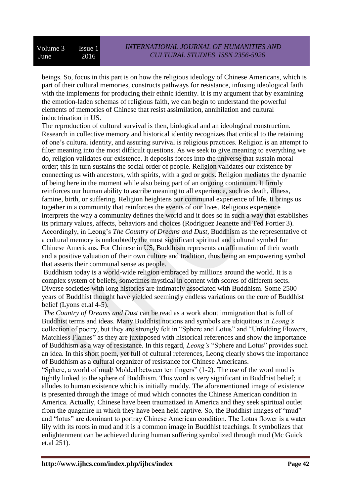beings. So, focus in this part is on how the religious ideology of Chinese Americans, which is part of their cultural memories, constructs pathways for resistance, infusing ideological faith with the implements for producing their ethnic identity. It is my argument that by examining the emotion-laden schemas of religious faith, we can begin to understand the powerful elements of memories of Chinese that resist assimilation, annihilation and cultural indoctrination in US.

The reproduction of cultural survival is then, biological and an ideological construction. Research in collective memory and historical identity recognizes that critical to the retaining of one's cultural identity, and assuring survival is religious practices. Religion is an attempt to filter meaning into the most difficult questions. As we seek to give meaning to everything we do, religion validates our existence. It deposits forces into the universe that sustain moral order; this in turn sustains the social order of people. Religion validates our existence by connecting us with ancestors, with spirits, with a god or gods. Religion mediates the dynamic of being here in the moment while also being part of an ongoing continuum. It firmly reinforces our human ability to ascribe meaning to all experience, such as death, illness, famine, birth, or suffering. Religion heightens our communal experience of life. It brings us together in a community that reinforces the events of our lives. Religious experience interprets the way a community defines the world and it does so in such a way that establishes its primary values, affects, behaviors and choices (Rodriguez Jeanette and Ted Fortier 3). Accordingly, in Leong's *The Country of Dreams and Dust*, Buddhism as the representative of a cultural memory is undoubtedly the most significant spiritual and cultural symbol for Chinese Americans. For Chinese in US, Buddhism represents an affirmation of their worth and a positive valuation of their own culture and tradition, thus being an empowering symbol that asserts their communal sense as people.

Buddhism today is a world-wide religion embraced by millions around the world. It is a complex system of beliefs, sometimes mystical in content with scores of different sects. Diverse societies with long histories are intimately associated with Buddhism. Some 2500 years of Buddhist thought have yielded seemingly endless variations on the core of Buddhist belief (Lyons et.al 4-5).

*The Country of Dreams and Dust* can be read as a work about immigration that is full of Buddhist terms and ideas. Many Buddhist notions and symbols are ubiquitous in *Leong's* collection of poetry, but they are strongly felt in "Sphere and Lotus" and "Unfolding Flowers, Matchless Flames" as they are juxtaposed with historical references and show the importance of Buddhism as a way of resistance. In this regard, *Leong's* "Sphere and Lotus" provides such an idea. In this short poem, yet full of cultural references, Leong clearly shows the importance of Buddhism as a cultural organizer of resistance for Chinese Americans.

"Sphere, a world of mud/ Molded between ten fingers" (1-2). The use of the word mud is tightly linked to the sphere of Buddhism. This word is very significant in Buddhist belief; it alludes to human existence which is initially muddy. The aforementioned image of existence is presented through the image of mud which connotes the Chinese American condition in America. Actually, Chinese have been traumatized in America and they seek spiritual outlet from the quagmire in which they have been held captive. So, the Buddhist images of "mud" and "lotus" are dominant to portray Chinese American condition. The Lotus flower is a water lily with its roots in mud and it is a common image in Buddhist teachings. It symbolizes that enlightenment can be achieved during human suffering symbolized through mud (Mc Guick et.al 251).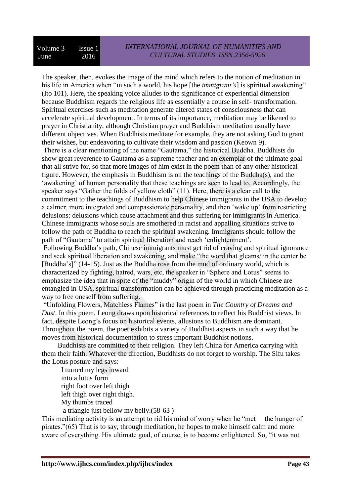The speaker, then, evokes the image of the mind which refers to the notion of meditation in his life in America when "in such a world, his hope [the *immigrant's*] is spiritual awakening" (Ito 101). Here, the speaking voice alludes to the significance of experiential dimension because Buddhism regards the religious life as essentially a course in self- transformation. Spiritual exercises such as meditation generate altered states of consciousness that can accelerate spiritual development. In terms of its importance, meditation may be likened to prayer in Christianity, although Christian prayer and Buddhism meditation usually have different objectives. When Buddhists meditate for example, they are not asking God to grant their wishes, but endeavoring to cultivate their wisdom and passion (Keown 9).

There is a clear mentioning of the name "Gautama," the historical Buddha. Buddhists do show great reverence to Gautama as a supreme teacher and an exemplar of the ultimate goal that all strive for, so that more images of him exist in the poem than of any other historical figure. However, the emphasis in Buddhism is on the teachings of the Buddha(s), and the 'awakening' of human personality that these teachings are seen to lead to. Accordingly, the speaker says "Gather the folds of yellow cloth" (11). Here, there is a clear call to the commitment to the teachings of Buddhism to help Chinese immigrants in the USA to develop a calmer, more integrated and compassionate personality, and then 'wake up' from restricting delusions: delusions which cause attachment and thus suffering for immigrants in America. Chinese immigrants whose souls are smothered in racist and appalling situations strive to follow the path of Buddha to reach the spiritual awakening. Immigrants should follow the path of "Gautama" to attain spiritual liberation and reach 'enlightenment'.

Following Buddha's path, Chinese immigrants must get rid of craving and spiritual ignorance and seek spiritual liberation and awakening, and make "the word that gleams/ in the center be [Buddha's]" (14-15). Just as the Buddha rose from the mud of ordinary world, which is characterized by fighting, hatred, wars, etc, the speaker in "Sphere and Lotus" seems to emphasize the idea that in spite of the "muddy" origin of the world in which Chinese are entangled in USA, spiritual transformation can be achieved through practicing meditation as a way to free oneself from suffering.

"Unfolding Flowers, Matchless Flames" is the last poem in *The Country of Dreams and Dust*. In this poem, Leong draws upon historical references to reflect his Buddhist views. In fact, despite Leong's focus on historical events, allusions to Buddhism are dominant. Throughout the poem, the poet exhibits a variety of Buddhist aspects in such a way that he moves from historical documentation to stress important Buddhist notions.

 Buddhists are committed to their religion. They left China for America carrying with them their faith. Whatever the direction, Buddhists do not forget to worship. The Sifu takes the Lotus posture and says:

 I turned my legs inward into a lotus form right foot over left thigh left thigh over right thigh. My thumbs traced a triangle just bellow my belly.(58-63 )

This mediating activity is an attempt to rid his mind of worry when he "met the hunger of pirates."(65) That is to say, through meditation, he hopes to make himself calm and more aware of everything. His ultimate goal, of course, is to become enlightened. So, "it was not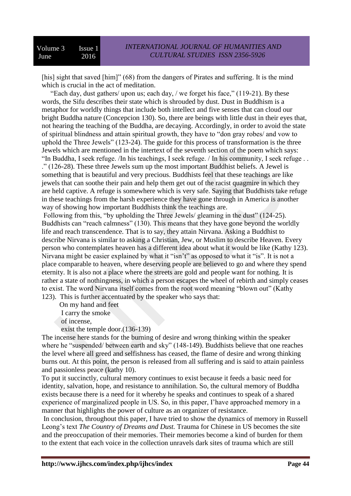[his] sight that saved [him]" (68) from the dangers of Pirates and suffering. It is the mind which is crucial in the act of meditation.

 "Each day, dust gathers/ upon us; each day, / we forget his face," (119-21). By these words, the Sifu describes their state which is shrouded by dust. Dust in Buddhism is a metaphor for worldly things that include both intellect and five senses that can cloud our bright Buddha nature (Concepcion 130). So, there are beings with little dust in their eyes that, not hearing the teaching of the Buddha, are decaying. Accordingly, in order to avoid the state of spiritual blindness and attain spiritual growth, they have to "don gray robes/ and vow to uphold the Three Jewels" (123-24). The guide for this process of transformation is the three Jewels which are mentioned in the intertext of the seventh section of the poem which says: "In Buddha, I seek refuge. /In his teachings, I seek refuge. / In his community, I seek refuge . . ." (126-28). These three Jewels sum up the most important Buddhist beliefs. A Jewel is something that is beautiful and very precious. Buddhists feel that these teachings are like jewels that can soothe their pain and help them get out of the racist quagmire in which they are held captive. A refuge is somewhere which is very safe. Saying that Buddhists take refuge in these teachings from the harsh experience they have gone through in America is another way of showing how important Buddhists think the teachings are.

Following from this, "by upholding the Three Jewels/ gleaming in the dust" (124-25). Buddhists can "reach calmness" (130). This means that they have gone beyond the worldly life and reach transcendence. That is to say, they attain Nirvana. Asking a Buddhist to describe Nirvana is similar to asking a Christian, Jew, or Muslim to describe Heaven. Every person who contemplates heaven has a different idea about what it would be like (Kathy 123). Nirvana might be easier explained by what it "isn't" as opposed to what it "is". It is not a place comparable to heaven, where deserving people are believed to go and where they spend eternity. It is also not a place where the streets are gold and people want for nothing. It is rather a state of nothingness, in which a person escapes the wheel of rebirth and simply ceases to exist. The word Nirvana itself comes from the root word meaning "blown out" (Kathy 123). This is further accentuated by the speaker who says that:

On my hand and feet

I carry the smoke

of incense,

exist the temple door.(136-139)

The incense here stands for the burning of desire and wrong thinking within the speaker where he "suspended/ between earth and sky" (148-149). Buddhists believe that one reaches the level where all greed and selfishness has ceased, the flame of desire and wrong thinking burns out. At this point, the person is released from all suffering and is said to attain painless and passionless peace (kathy 10).

To put it succinctly, cultural memory continues to exist because it feeds a basic need for identity, salvation, hope, and resistance to annihilation. So, the cultural memory of Buddha exists because there is a need for it whereby he speaks and continues to speak of a shared experience of marginalized people in US. So, in this paper, I'have approached memory in a manner that highlights the power of culture as an organizer of resistance.

In conclusion, throughout this paper, I have tried to show the dynamics of memory in Russell Leong's text *The Country of Dreams and Dust.* Trauma for Chinese in US becomes the site and the preoccupation of their memories. Their memories become a kind of burden for them to the extent that each voice in the collection unravels dark sites of trauma which are still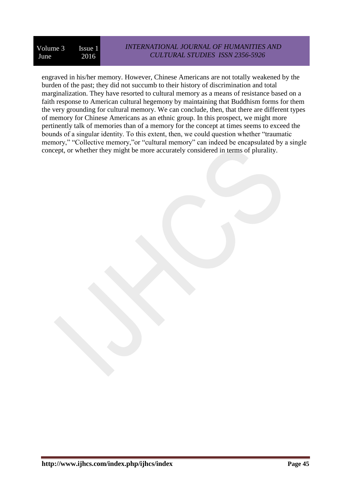engraved in his/her memory. However, Chinese Americans are not totally weakened by the burden of the past; they did not succumb to their history of discrimination and total marginalization. They have resorted to cultural memory as a means of resistance based on a faith response to American cultural hegemony by maintaining that Buddhism forms for them the very grounding for cultural memory. We can conclude, then, that there are different types of memory for Chinese Americans as an ethnic group. In this prospect, we might more pertinently talk of memories than of a memory for the concept at times seems to exceed the bounds of a singular identity. To this extent, then, we could question whether "traumatic memory," "Collective memory," or "cultural memory" can indeed be encapsulated by a single concept, or whether they might be more accurately considered in terms of plurality.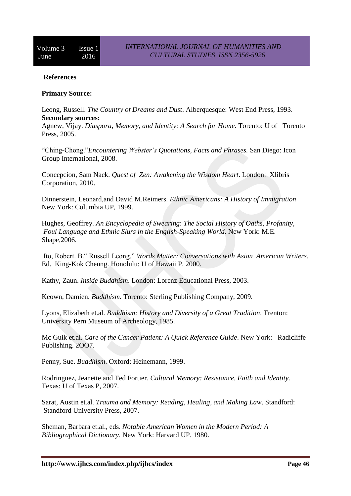### **References**

#### **Primary Source:**

Leong, Russell. *The Country of Dreams and Dust*. Alberquesque: West End Press, 1993. **Secondary sources:**

Agnew, Vijay. *Diaspora, Memory, and Identity: A Search for Home*. Torento: U of Torento Press, 2005.

"Ching-Chong."*Encountering Webster's Quotations, Facts and Phrases.* San Diego: Icon Group International, 2008.

Concepcion, Sam Nack. *Quest of Zen: Awakening the Wisdom Heart*. London: Xlibris Corporation, 2010.

Dinnerstein, Leonard,and David M.Reimers*. Ethnic Americans: A History of Immigration*  New York: Columbia UP, 1999.

Hughes, Geoffrey. *An Encyclopedia of Swearing*: *The Social History of Oaths, Profanity, Foul Language and Ethnic Slurs in the English-Speaking World*. New York: M.E. Shape,2006.

Ito, Robert. B." Russell Leong." *Words Matter: Conversations with Asian American Writers*. Ed. King-Kok Cheung. Honolulu: U of Hawaii P. 2000.

Kathy, Zaun. *Inside Buddhism*. London: Lorenz Educational Press, 2003.

Keown, Damien. *Buddhism.* Torento: Sterling Publishing Company, 2009.

Lyons, Elizabeth et.al. *Buddhism: History and Diversity of a Great Tradition*. Trenton: University Pern Museum of Archeology, 1985.

Mc Guik et.al. *Care of the Cancer Patient: A Quick Reference Guide*. New York: Radicliffe Publishing. 2OO7.

Penny, Sue. *Buddhism*. Oxford: Heinemann, 1999.

Rodringuez, Jeanette and Ted Fortier. *Cultural Memory: Resistance, Faith and Identity.* Texas: U of Texas P, 2007.

Sarat, Austin et.al. *Trauma and Memory: Reading, Healing, and Making Law*. Standford: Standford University Press, 2007.

Sheman, Barbara et.al., eds. *Notable American Women in the Modern Period: A Bibliographical Dictionary*. New York: Harvard UP. 1980.